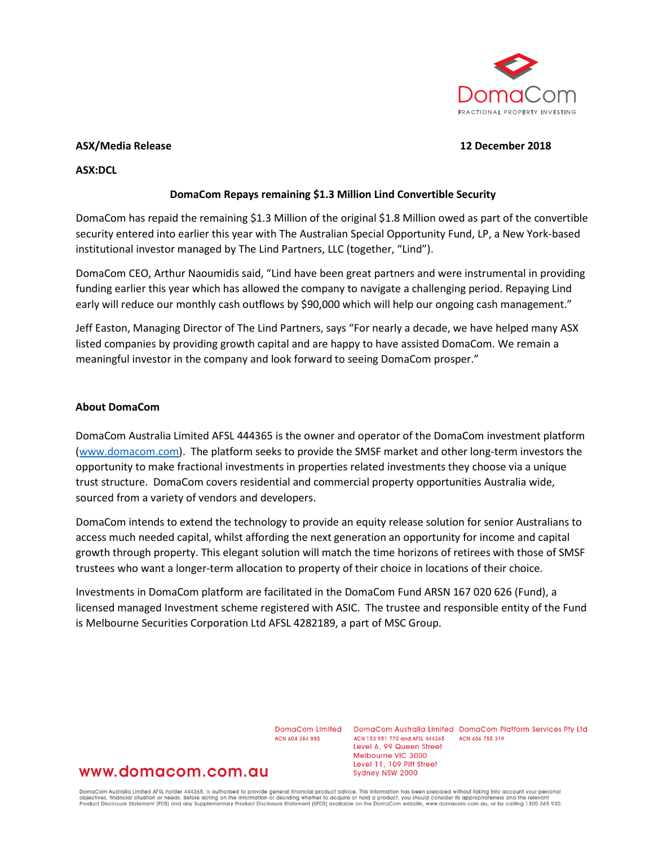

#### **ASX/Media Release 12 December 2018**

**ASX:DCL**

# **DomaCom Repays remaining \$1.3 Million Lind Convertible Security**

DomaCom has repaid the remaining \$1.3 Million of the original \$1.8 Million owed as part of the convertible security entered into earlier this year with The Australian Special Opportunity Fund, LP, a New York-based institutional investor managed by The Lind Partners, LLC (together, "Lind").

DomaCom CEO, Arthur Naoumidis said, "Lind have been great partners and were instrumental in providing funding earlier this year which has allowed the company to navigate a challenging period. Repaying Lind early will reduce our monthly cash outflows by \$90,000 which will help our ongoing cash management."

Jeff Easton, Managing Director of The Lind Partners, says "For nearly a decade, we have helped many ASX listed companies by providing growth capital and are happy to have assisted DomaCom. We remain a meaningful investor in the company and look forward to seeing DomaCom prosper."

### **About DomaCom**

DomaCom Australia Limited AFSL 444365 is the owner and operator of the DomaCom investment platform [\(www.domacom.com\)](https://apac01.safelinks.protection.outlook.com/?url=http%3A%2F%2Fwww.domacom.com&data=02%7C01%7Carthur.naoumidis%40domacom.com.au%7Cc245cb22160a4e55e83008d64dc4bc14%7C39f342c447984b4aa5c878207a6c9250%7C0%7C0%7C636781904758750055&sdata=xZl2OshWgg1gvhfP2gopo114wQ6Y8KSrdY%2Fo7pR%2Fifs%3D&reserved=0). The platform seeks to provide the SMSF market and other long-term investors the opportunity to make fractional investments in properties related investments they choose via a unique trust structure. DomaCom covers residential and commercial property opportunities Australia wide, sourced from a variety of vendors and developers.

DomaCom intends to extend the technology to provide an equity release solution for senior Australians to access much needed capital, whilst affording the next generation an opportunity for income and capital growth through property. This elegant solution will match the time horizons of retirees with those of SMSF trustees who want a longer-term allocation to property of their choice in locations of their choice.

Investments in DomaCom platform are facilitated in the DomaCom Fund ARSN 167 020 626 (Fund), a licensed managed Investment scheme registered with ASIC. The trustee and responsible entity of the Fund is Melbourne Securities Corporation Ltd AFSL 4282189, a part of MSC Group.

ACN 604 384 885

DomaCom Limited DomaCom Australia Limited DomaCom Platform Services Pty Ltd ACN 153 951 770 and AFSL 444365 ACN 606 755 319 Level 6, 99 Queen Street Melbourne VIC 3000 Level 11, 109 Pitt Street Sydney NSW 2000

# www.domacom.com.au

DomaCom Australia Limited AFSL holder 444365, is authorised to provide general financial product advice. This information has been prepared without taking into account your personal<br>objectives, financial situation or needs